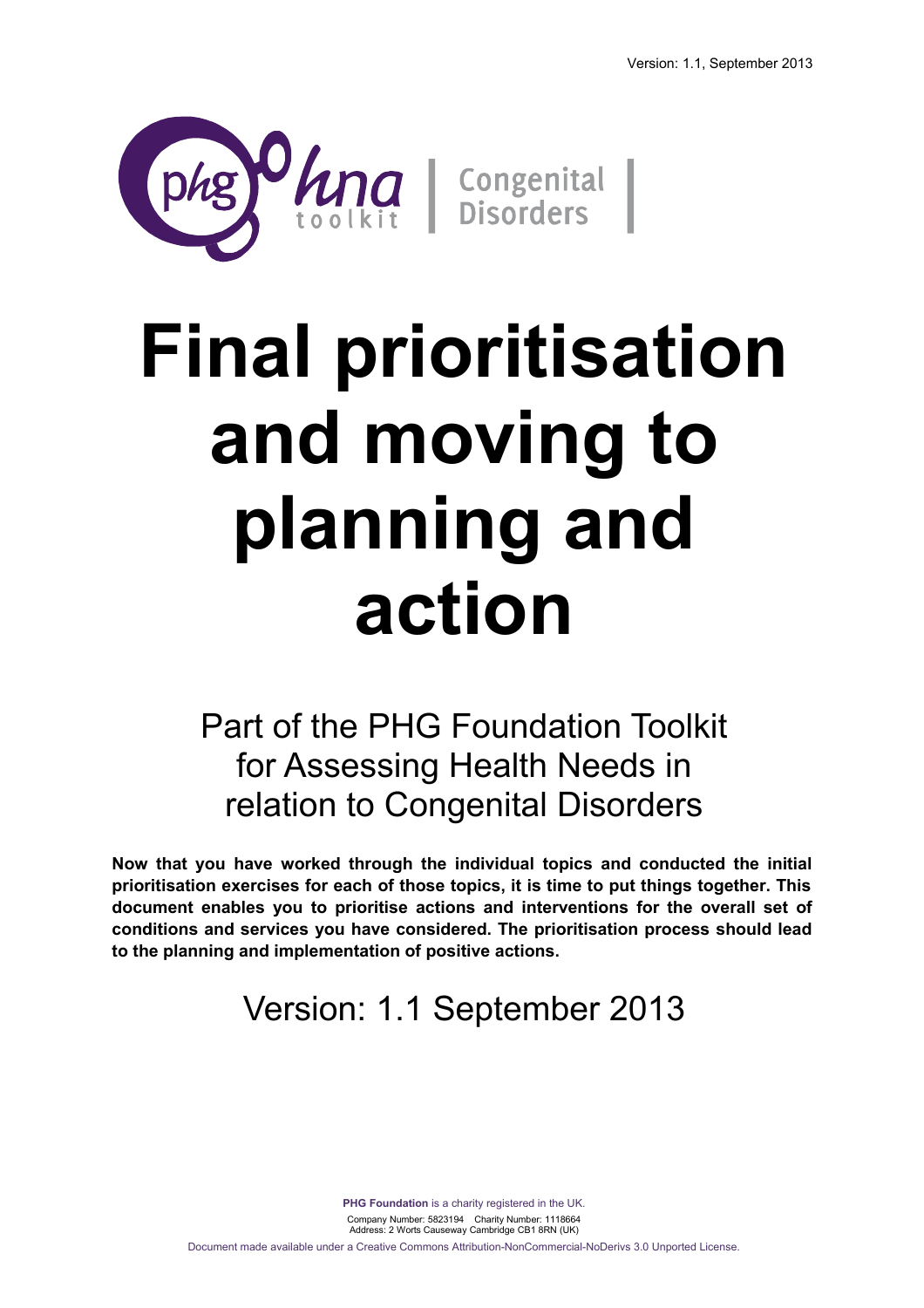

# **Final prioritisation and moving to planning and action**

Part of the PHG Foundation Toolkit for Assessing Health Needs in relation to Congenital Disorders

**Now that you have worked through the individual topics and conducted the initial prioritisation exercises for each of those topics, it is time to put things together. This document enables you to prioritise actions and interventions for the overall set of conditions and services you have considered. The prioritisation process should lead to the planning and implementation of positive actions.**

# Version: 1.1 September 2013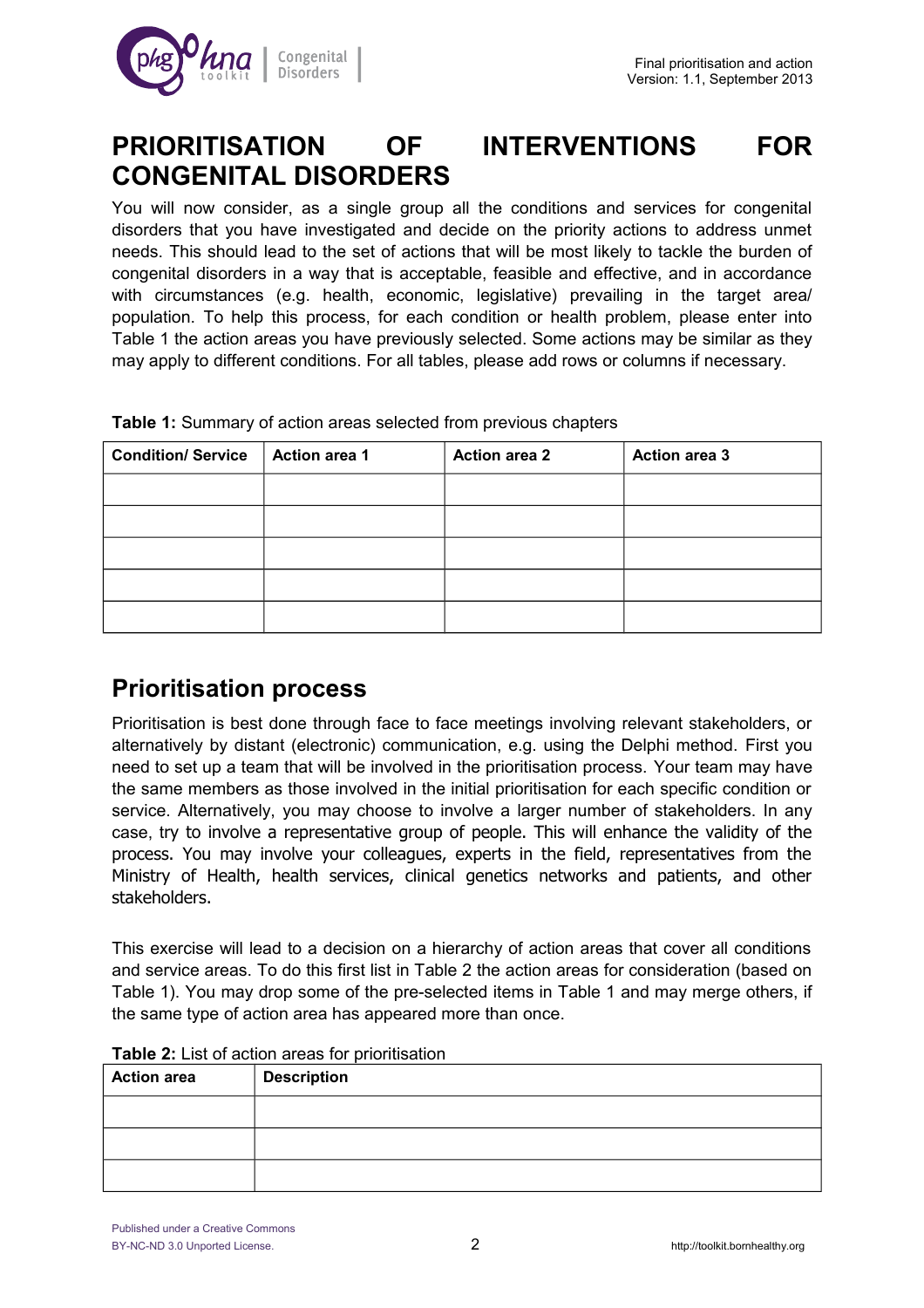

## **PRIORITISATION OF INTERVENTIONS FOR CONGENITAL DISORDERS**

You will now consider, as a single group all the conditions and services for congenital disorders that you have investigated and decide on the priority actions to address unmet needs. This should lead to the set of actions that will be most likely to tackle the burden of congenital disorders in a way that is acceptable, feasible and effective, and in accordance with circumstances (e.g. health, economic, legislative) prevailing in the target area/ population. To help this process, for each condition or health problem, please enter into Table 1 the action areas you have previously selected. Some actions may be similar as they may apply to different conditions. For all tables, please add rows or columns if necessary.

| <b>Condition/ Service</b> | Action area 1 | <b>Action area 2</b> | <b>Action area 3</b> |
|---------------------------|---------------|----------------------|----------------------|
|                           |               |                      |                      |
|                           |               |                      |                      |
|                           |               |                      |                      |
|                           |               |                      |                      |
|                           |               |                      |                      |

**Table 1:** Summary of action areas selected from previous chapters

## **Prioritisation process**

Prioritisation is best done through face to face meetings involving relevant stakeholders, or alternatively by distant (electronic) communication, e.g. using the Delphi method. First you need to set up a team that will be involved in the prioritisation process. Your team may have the same members as those involved in the initial prioritisation for each specific condition or service. Alternatively, you may choose to involve a larger number of stakeholders. In any case, try to involve a representative group of people. This will enhance the validity of the process. You may involve your colleagues, experts in the field, representatives from the Ministry of Health, health services, clinical genetics networks and patients, and other stakeholders.

This exercise will lead to a decision on a hierarchy of action areas that cover all conditions and service areas. To do this first list in Table 2 the action areas for consideration (based on Table 1). You may drop some of the pre-selected items in Table 1 and may merge others, if the same type of action area has appeared more than once.

| <b>Action area</b> | <b>Description</b> |
|--------------------|--------------------|
|                    |                    |
|                    |                    |
|                    |                    |

#### **Table 2:** List of action areas for prioritisation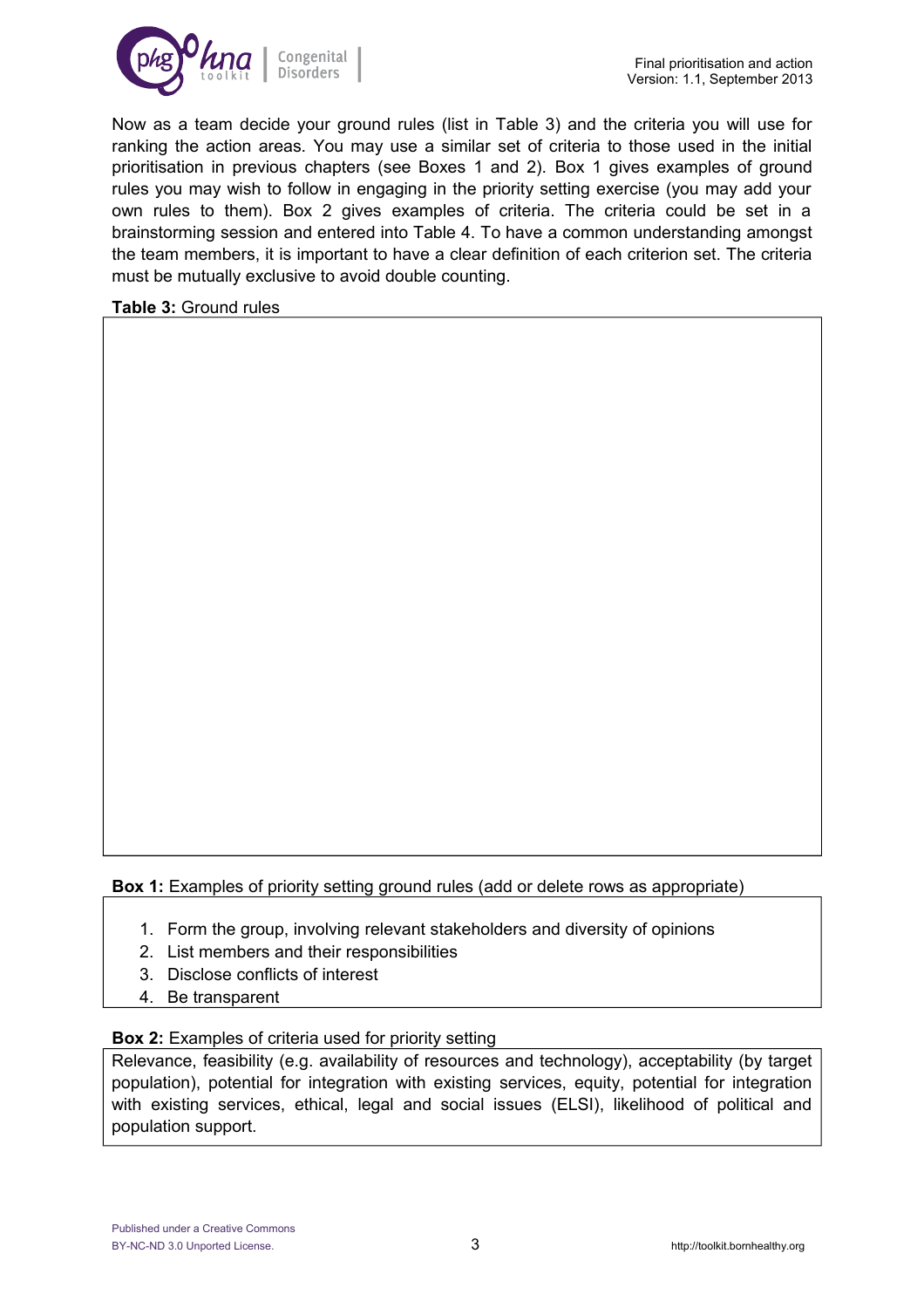

Now as a team decide your ground rules (list in Table 3) and the criteria you will use for ranking the action areas. You may use a similar set of criteria to those used in the initial prioritisation in previous chapters (see Boxes 1 and 2). Box 1 gives examples of ground rules you may wish to follow in engaging in the priority setting exercise (you may add your own rules to them). Box 2 gives examples of criteria. The criteria could be set in a brainstorming session and entered into Table 4. To have a common understanding amongst the team members, it is important to have a clear definition of each criterion set. The criteria must be mutually exclusive to avoid double counting.

**Table 3:** Ground rules

**Box 1:** Examples of priority setting ground rules (add or delete rows as appropriate)

- 1. Form the group, involving relevant stakeholders and diversity of opinions
- 2. List members and their responsibilities
- 3. Disclose conflicts of interest
- 4. Be transparent

**Box 2:** Examples of criteria used for priority setting

Relevance, feasibility (e.g. availability of resources and technology), acceptability (by target population), potential for integration with existing services, equity, potential for integration with existing services, ethical, legal and social issues (ELSI), likelihood of political and population support.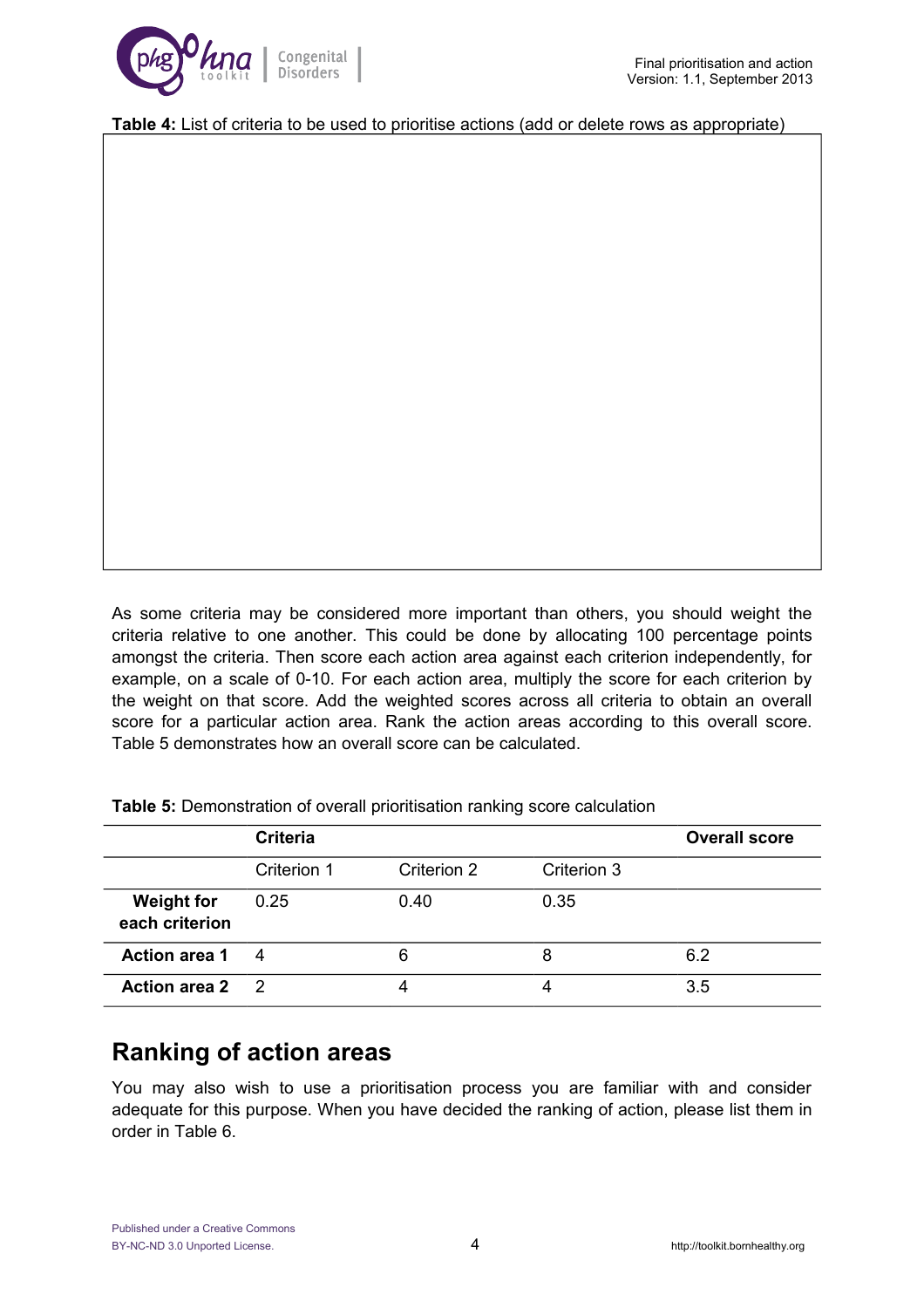

**Table 4:** List of criteria to be used to prioritise actions (add or delete rows as appropriate)

As some criteria may be considered more important than others, you should weight the criteria relative to one another. This could be done by allocating 100 percentage points amongst the criteria. Then score each action area against each criterion independently, for example, on a scale of 0-10. For each action area, multiply the score for each criterion by the weight on that score. Add the weighted scores across all criteria to obtain an overall score for a particular action area. Rank the action areas according to this overall score. Table 5 demonstrates how an overall score can be calculated.

|                                     | <b>Criteria</b> |             |             | <b>Overall score</b> |
|-------------------------------------|-----------------|-------------|-------------|----------------------|
|                                     | Criterion 1     | Criterion 2 | Criterion 3 |                      |
| <b>Weight for</b><br>each criterion | 0.25            | 0.40        | 0.35        |                      |
| <b>Action area 1</b>                | 4               | 6           | 8           | 6.2                  |
| Action area 2 2                     |                 |             |             | 3.5                  |

**Table 5:** Demonstration of overall prioritisation ranking score calculation

### **Ranking of action areas**

You may also wish to use a prioritisation process you are familiar with and consider adequate for this purpose. When you have decided the ranking of action, please list them in order in Table 6.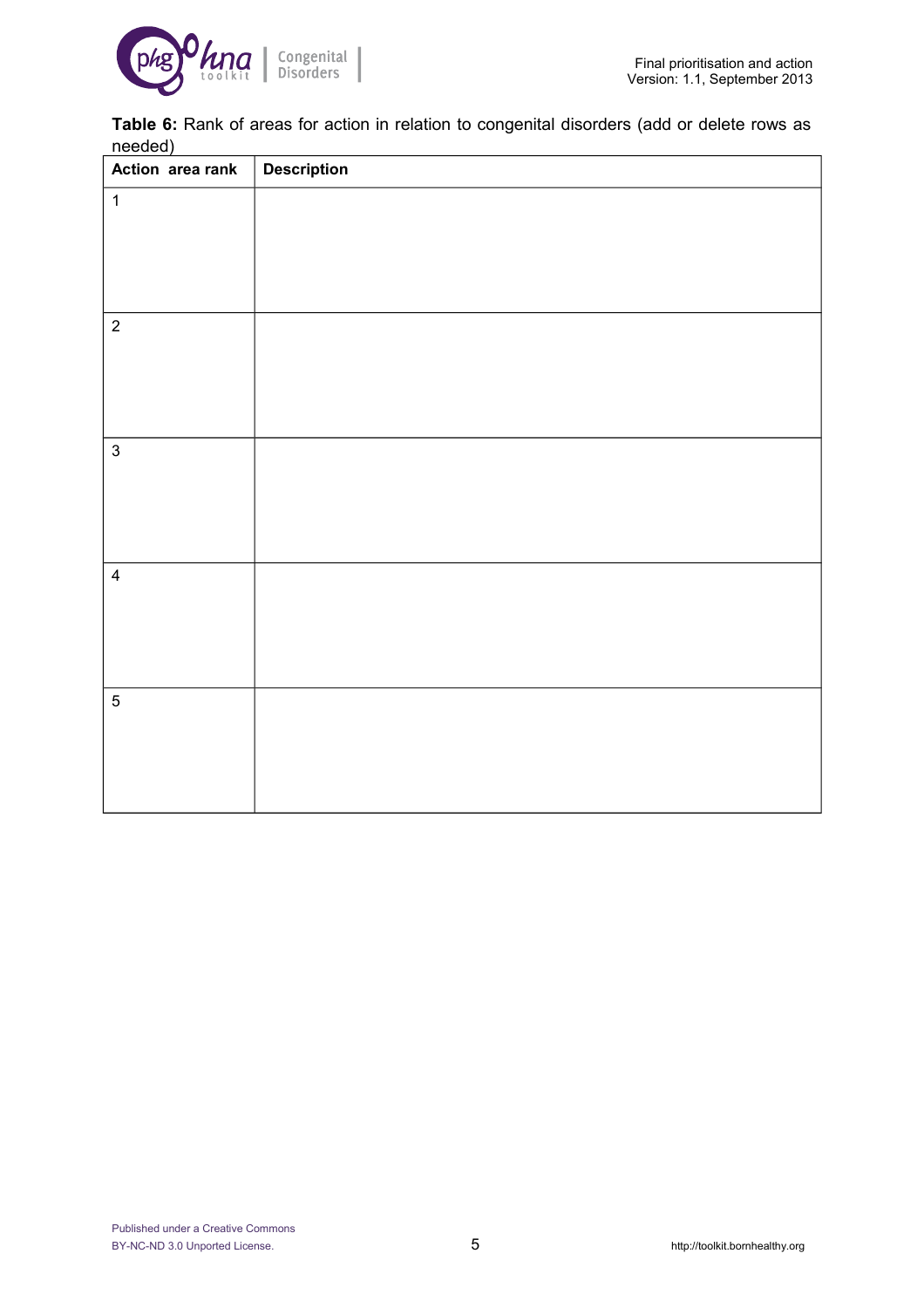

**Table 6:** Rank of areas for action in relation to congenital disorders (add or delete rows as needed)

| Action area rank | <b>Description</b> |
|------------------|--------------------|
| $\mathbf{1}$     |                    |
|                  |                    |
|                  |                    |
|                  |                    |
| $\overline{2}$   |                    |
|                  |                    |
|                  |                    |
|                  |                    |
| $\mathbf{3}$     |                    |
|                  |                    |
|                  |                    |
|                  |                    |
| $\overline{4}$   |                    |
|                  |                    |
|                  |                    |
|                  |                    |
| $\overline{5}$   |                    |
|                  |                    |
|                  |                    |
|                  |                    |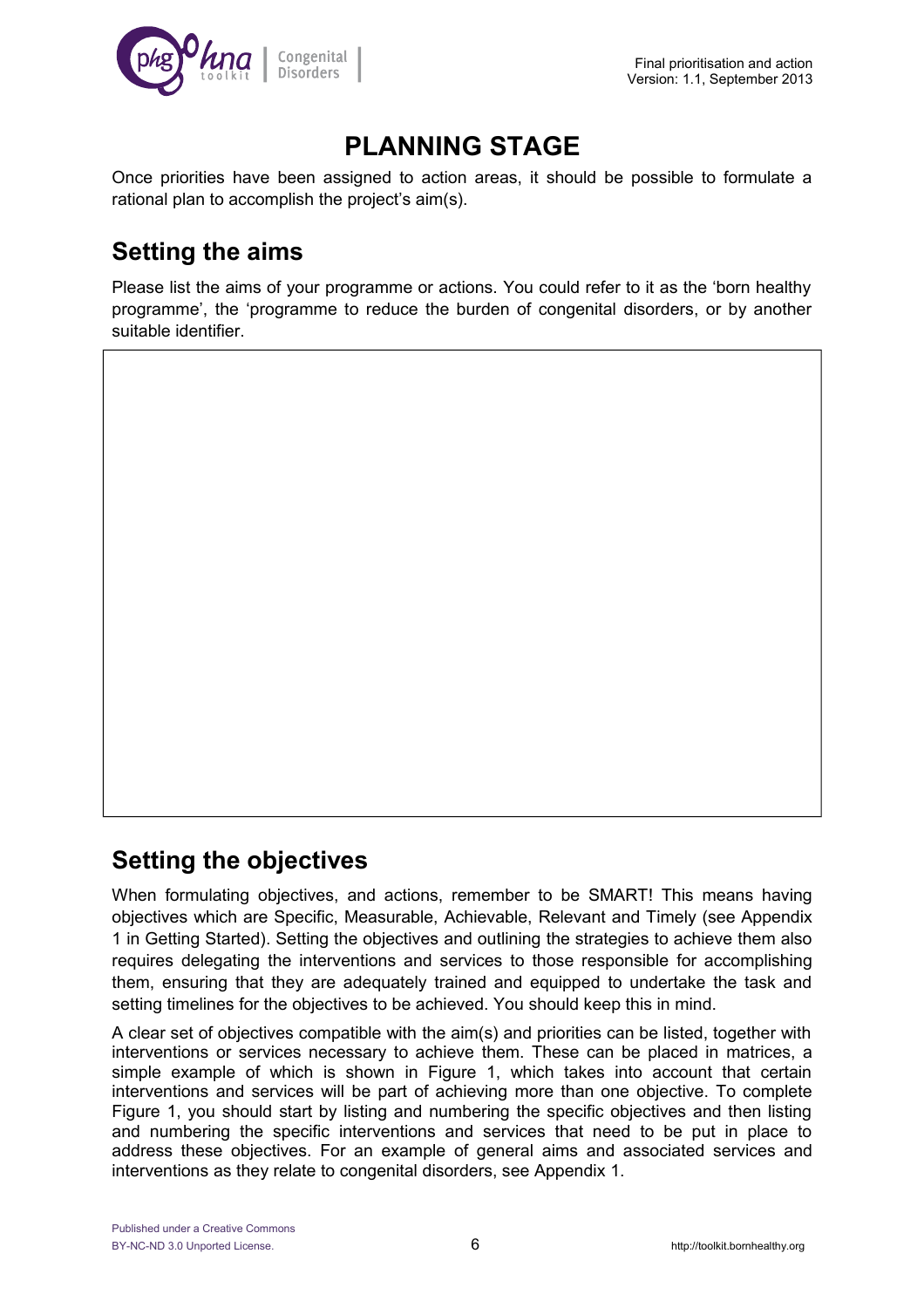

## **PLANNING STAGE**

Once priorities have been assigned to action areas, it should be possible to formulate a rational plan to accomplish the project's aim(s).

## **Setting the aims**

Please list the aims of your programme or actions. You could refer to it as the 'born healthy programme', the 'programme to reduce the burden of congenital disorders, or by another suitable identifier.

### **Setting the objectives**

When formulating objectives, and actions, remember to be SMART! This means having objectives which are Specific, Measurable, Achievable, Relevant and Timely (see Appendix 1 in Getting Started). Setting the objectives and outlining the strategies to achieve them also requires delegating the interventions and services to those responsible for accomplishing them, ensuring that they are adequately trained and equipped to undertake the task and setting timelines for the objectives to be achieved. You should keep this in mind.

A clear set of objectives compatible with the aim(s) and priorities can be listed, together with interventions or services necessary to achieve them. These can be placed in matrices, a simple example of which is shown in Figure 1, which takes into account that certain interventions and services will be part of achieving more than one objective. To complete Figure 1, you should start by listing and numbering the specific objectives and then listing and numbering the specific interventions and services that need to be put in place to address these objectives. For an example of general aims and associated services and interventions as they relate to congenital disorders, see Appendix 1.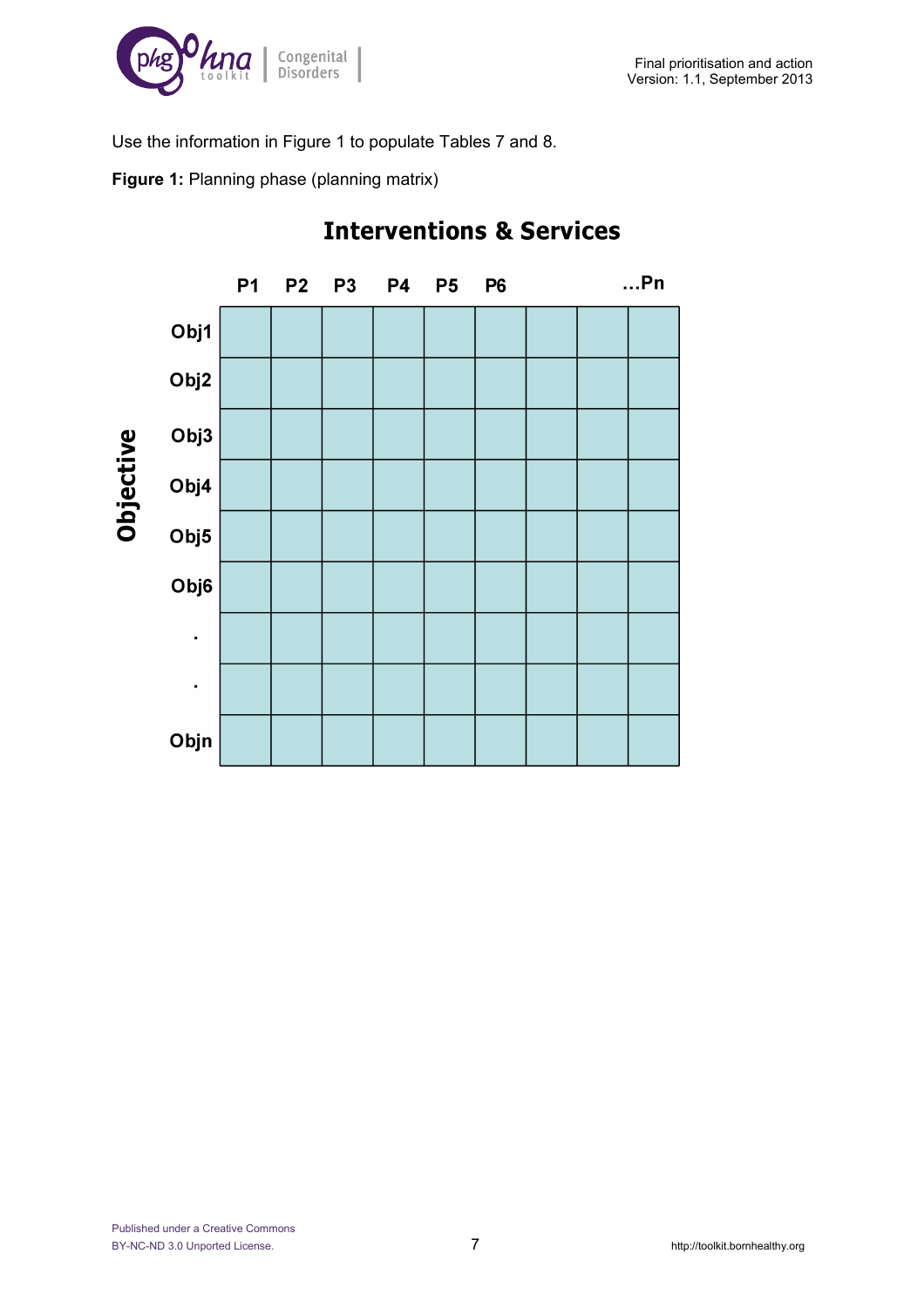

Use the information in Figure 1 to populate Tables 7 and 8.

**Figure 1:** Planning phase (planning matrix)



## **Interventions & Services**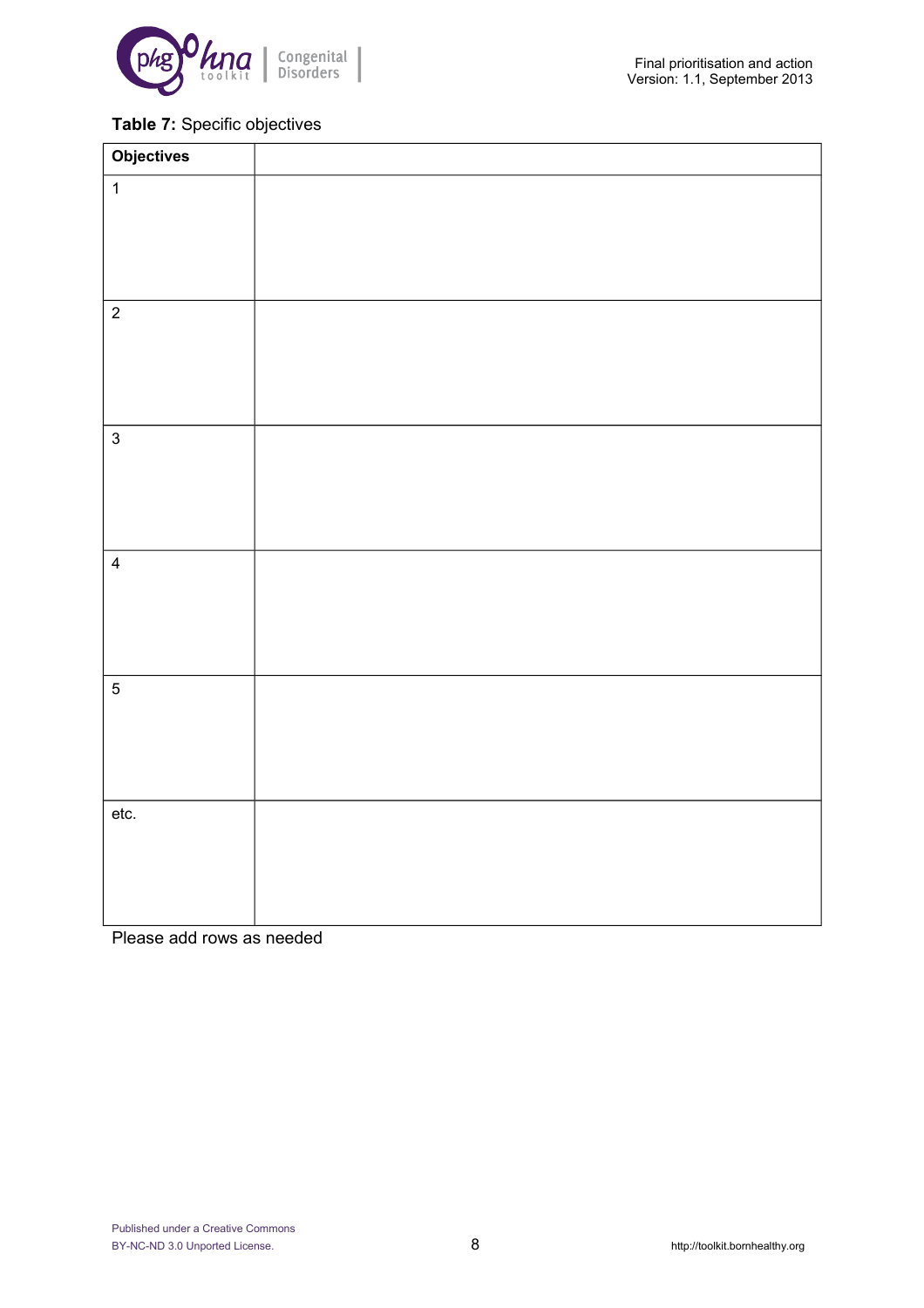

#### **Table 7:** Specific objectives

| <b>Objectives</b> |  |
|-------------------|--|
| $\mathbf{1}$      |  |
|                   |  |
|                   |  |
|                   |  |
| $\overline{2}$    |  |
|                   |  |
|                   |  |
|                   |  |
| $\mathbf{3}$      |  |
|                   |  |
|                   |  |
|                   |  |
| $\overline{4}$    |  |
|                   |  |
|                   |  |
| $\overline{5}$    |  |
|                   |  |
|                   |  |
|                   |  |
| etc.              |  |
|                   |  |
|                   |  |
|                   |  |
|                   |  |

Please add rows as needed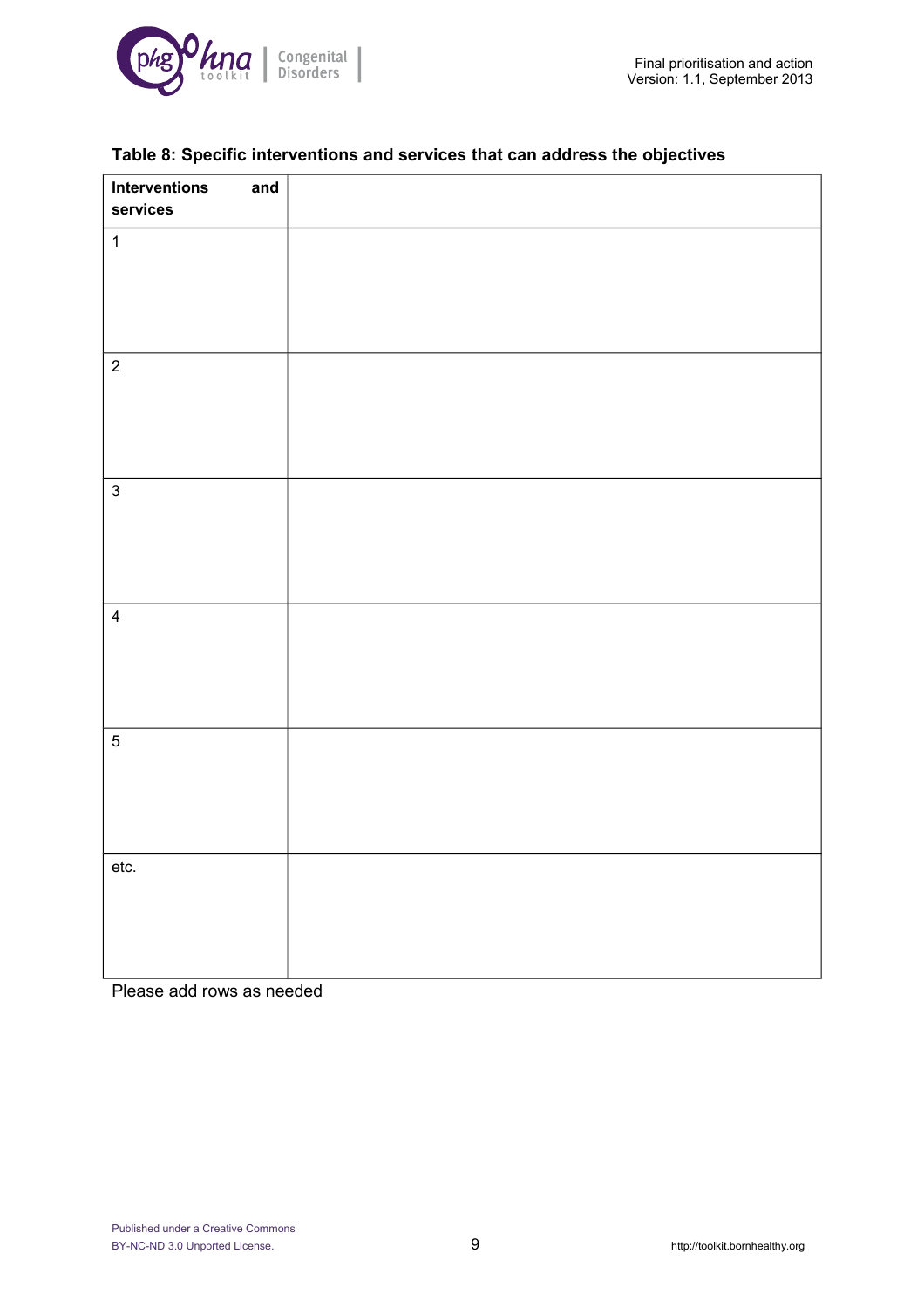

| Interventions<br>and<br>services |  |
|----------------------------------|--|
| $\overline{1}$                   |  |
|                                  |  |
| $\overline{2}$                   |  |
|                                  |  |
| $\mathbf{3}$                     |  |
|                                  |  |
| $\overline{4}$                   |  |
|                                  |  |
| $\overline{5}$                   |  |
|                                  |  |
| etc.                             |  |
|                                  |  |
|                                  |  |

#### **Table 8: Specific interventions and services that can address the objectives**

Please add rows as needed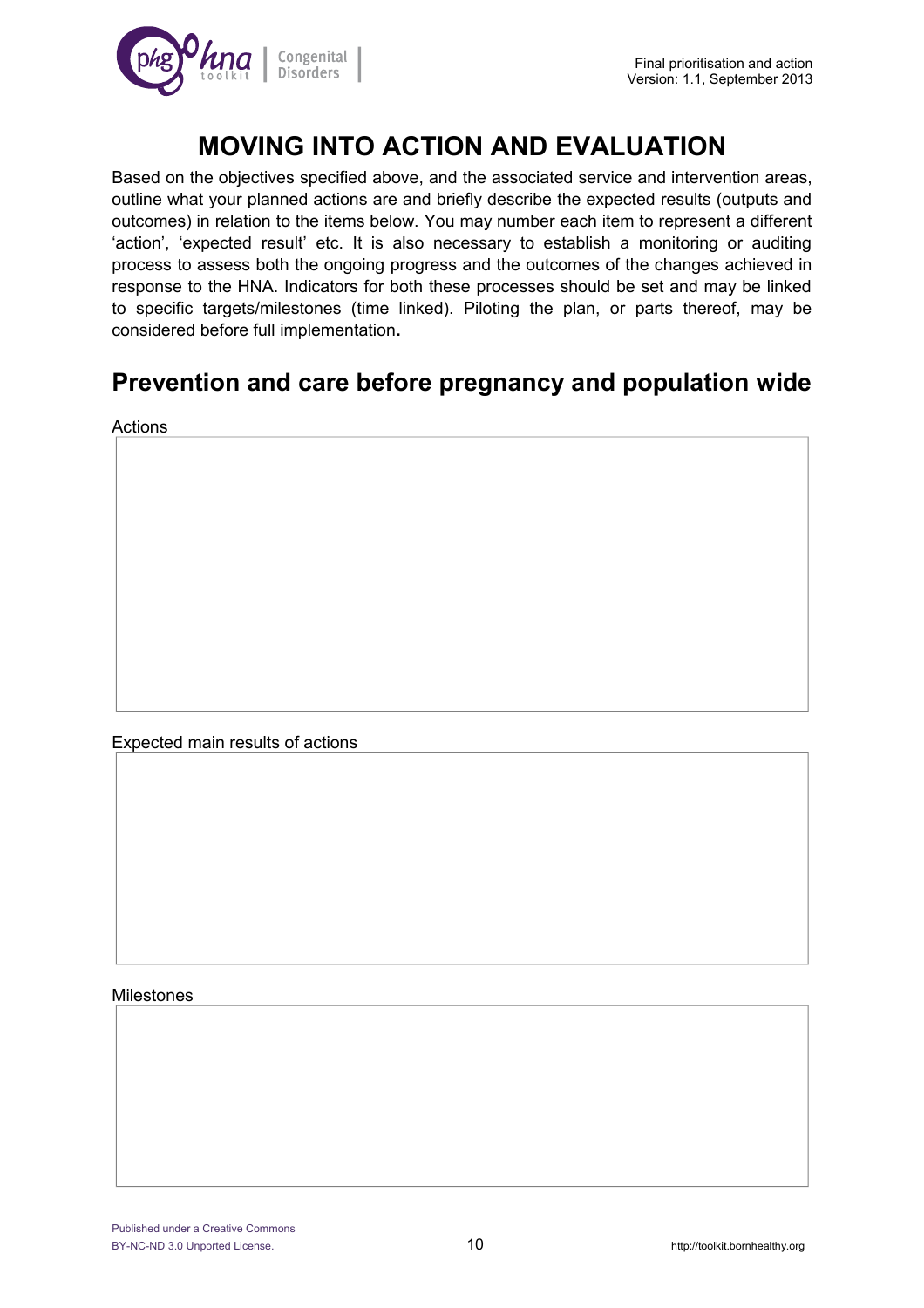

## **MOVING INTO ACTION AND EVALUATION**

Based on the objectives specified above, and the associated service and intervention areas, outline what your planned actions are and briefly describe the expected results (outputs and outcomes) in relation to the items below. You may number each item to represent a different 'action', 'expected result' etc. It is also necessary to establish a monitoring or auditing process to assess both the ongoing progress and the outcomes of the changes achieved in response to the HNA. Indicators for both these processes should be set and may be linked to specific targets/milestones (time linked). Piloting the plan, or parts thereof, may be considered before full implementation**.**

## **Prevention and care before pregnancy and population wide**

Actions

Expected main results of actions

#### Milestones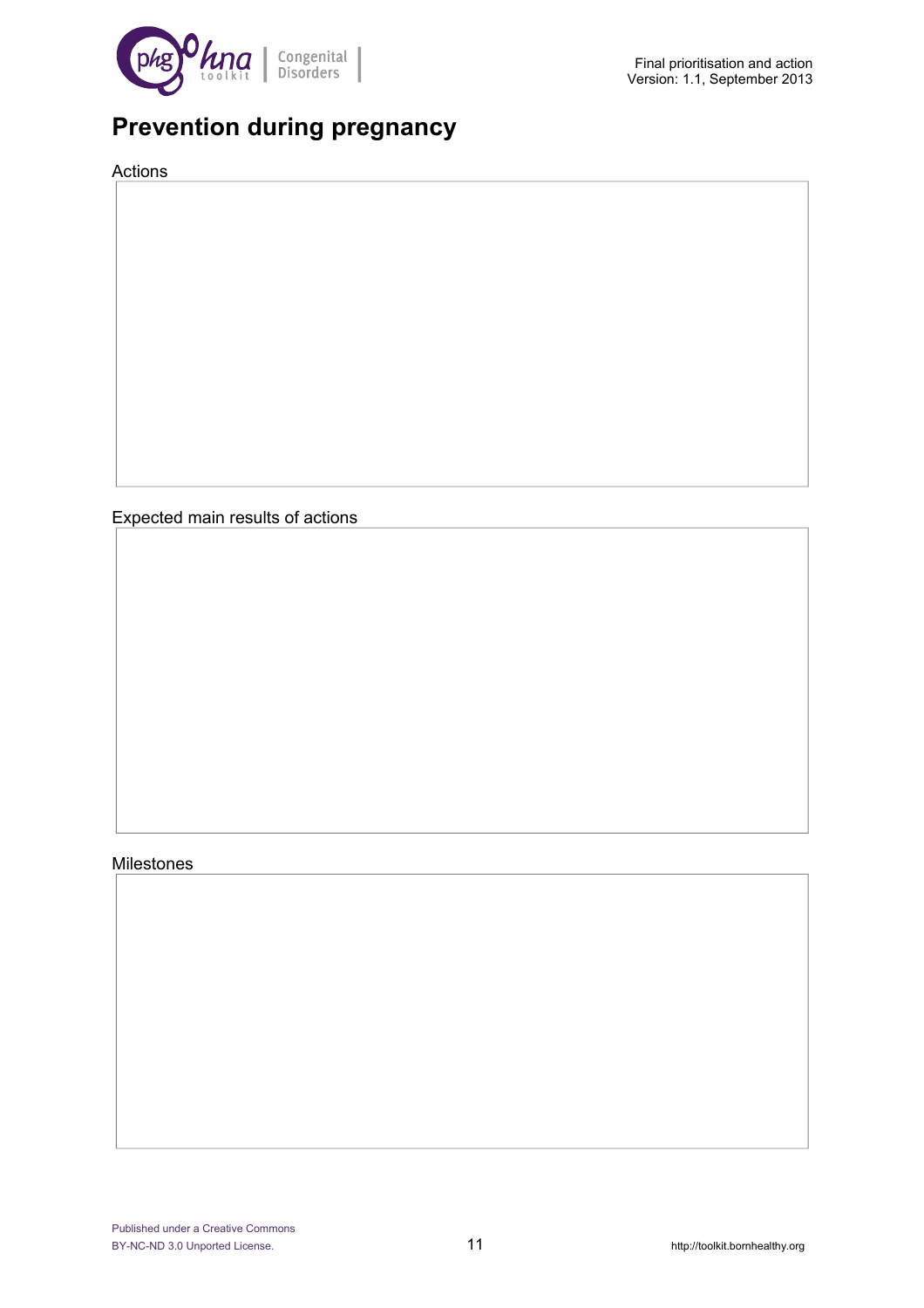

## **Prevention during pregnancy**

Actions

Expected main results of actions

#### Milestones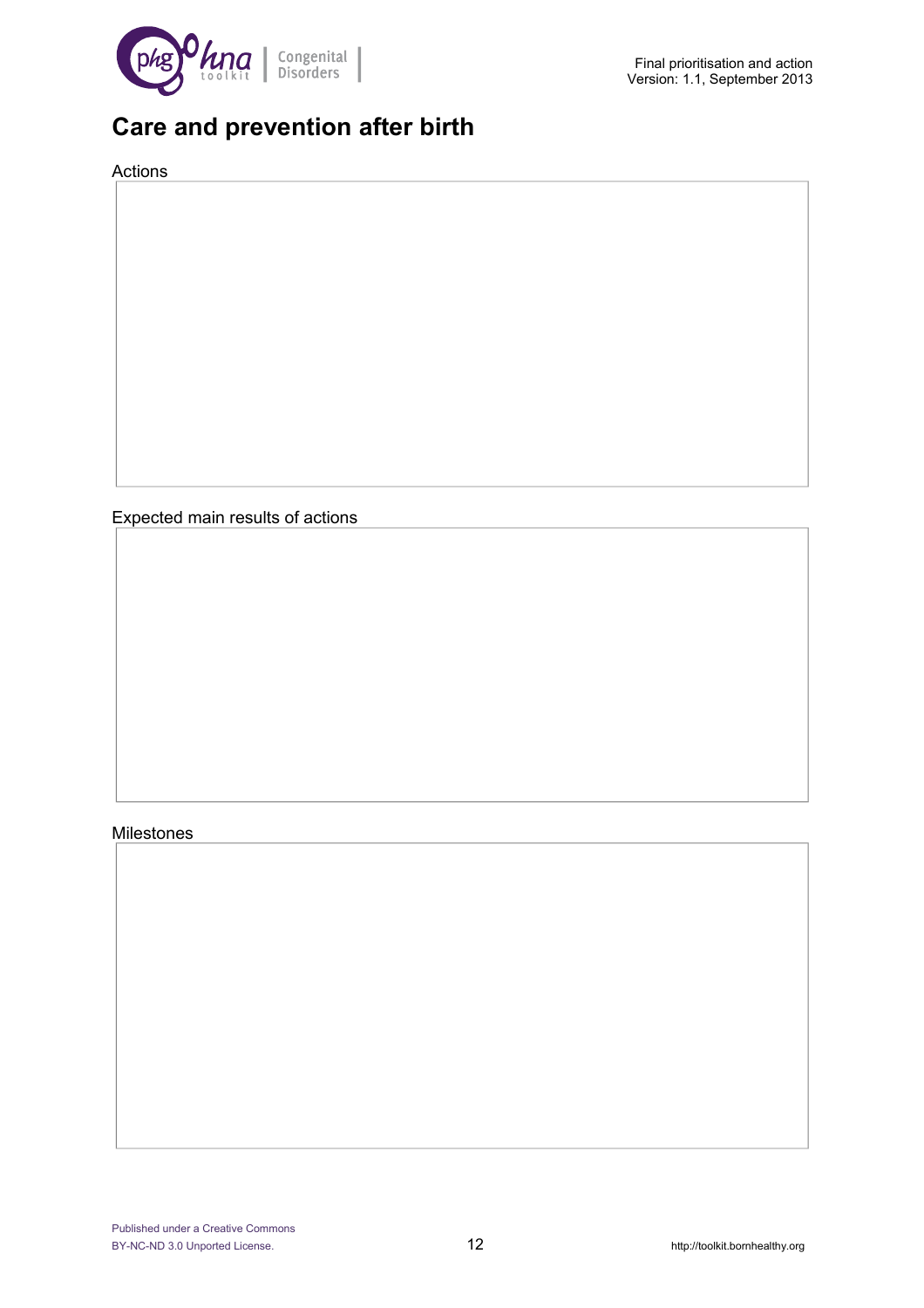

## **Care and prevention after birth**

Actions

Expected main results of actions

#### Milestones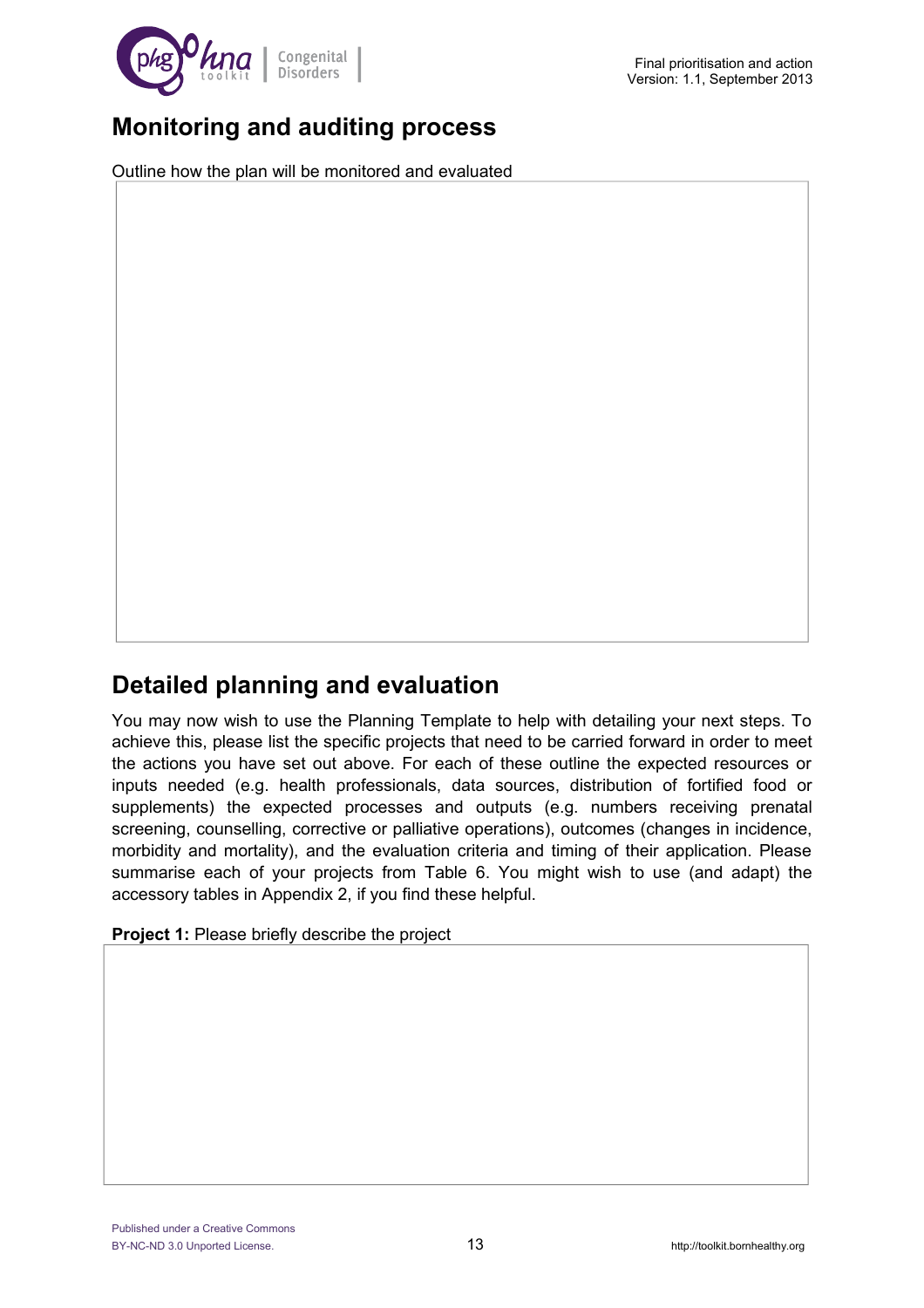

## **Monitoring and auditing process**

Outline how the plan will be monitored and evaluated

## **Detailed planning and evaluation**

You may now wish to use the Planning Template to help with detailing your next steps. To achieve this, please list the specific projects that need to be carried forward in order to meet the actions you have set out above. For each of these outline the expected resources or inputs needed (e.g. health professionals, data sources, distribution of fortified food or supplements) the expected processes and outputs (e.g. numbers receiving prenatal screening, counselling, corrective or palliative operations), outcomes (changes in incidence, morbidity and mortality), and the evaluation criteria and timing of their application. Please summarise each of your projects from Table 6. You might wish to use (and adapt) the accessory tables in Appendix 2, if you find these helpful.

**Project 1:** Please briefly describe the project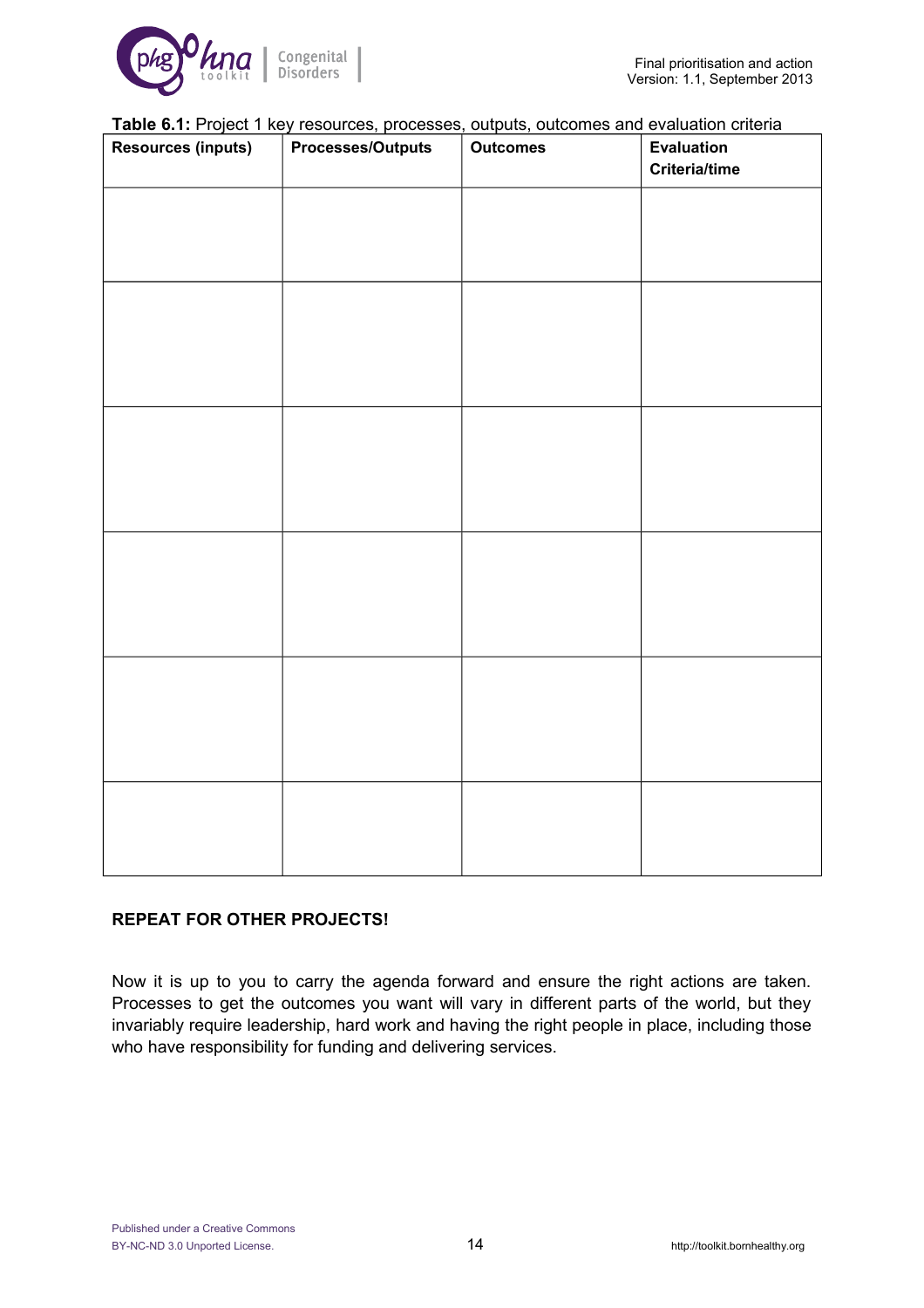

#### **Table 6.1:** Project 1 key resources, processes, outputs, outcomes and evaluation criteria

| - -----<br><b>Resources (inputs)</b> | -------,<br>.<br><b>Processes/Outputs</b> | - - - - - - - <i>,</i><br><b>Outcomes</b> | <b>Evaluation</b><br><b>Criteria/time</b> |
|--------------------------------------|-------------------------------------------|-------------------------------------------|-------------------------------------------|
|                                      |                                           |                                           |                                           |
|                                      |                                           |                                           |                                           |
|                                      |                                           |                                           |                                           |
|                                      |                                           |                                           |                                           |
|                                      |                                           |                                           |                                           |
|                                      |                                           |                                           |                                           |
|                                      |                                           |                                           |                                           |
|                                      |                                           |                                           |                                           |
|                                      |                                           |                                           |                                           |
|                                      |                                           |                                           |                                           |
|                                      |                                           |                                           |                                           |
|                                      |                                           |                                           |                                           |

#### **REPEAT FOR OTHER PROJECTS!**

Now it is up to you to carry the agenda forward and ensure the right actions are taken. Processes to get the outcomes you want will vary in different parts of the world, but they invariably require leadership, hard work and having the right people in place, including those who have responsibility for funding and delivering services.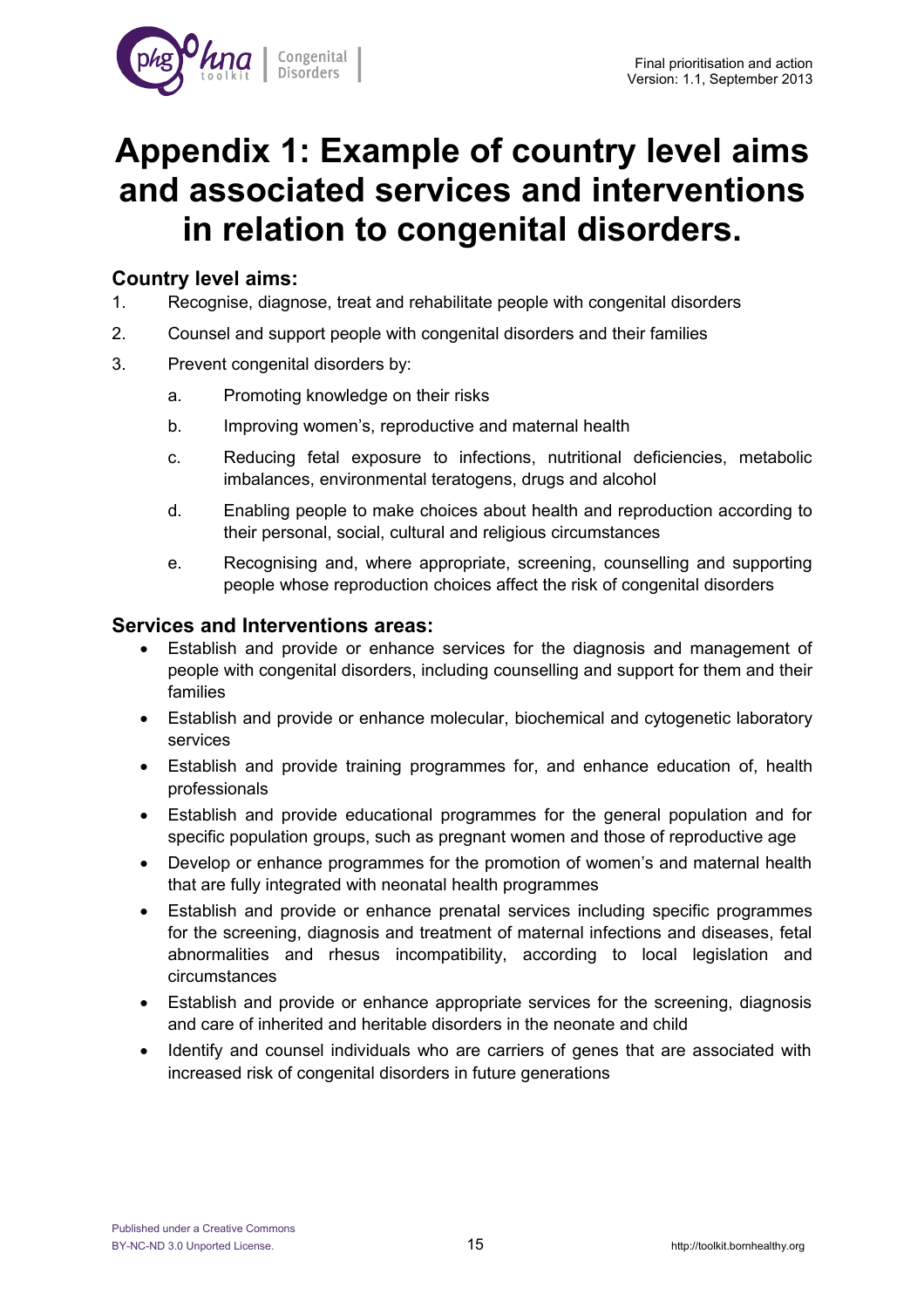

## **Appendix 1: Example of country level aims and associated services and interventions in relation to congenital disorders.**

#### **Country level aims:**

- 1. Recognise, diagnose, treat and rehabilitate people with congenital disorders
- 2. Counsel and support people with congenital disorders and their families
- 3. Prevent congenital disorders by:
	- a. Promoting knowledge on their risks
	- b. Improving women's, reproductive and maternal health
	- c. Reducing fetal exposure to infections, nutritional deficiencies, metabolic imbalances, environmental teratogens, drugs and alcohol
	- d. Enabling people to make choices about health and reproduction according to their personal, social, cultural and religious circumstances
	- e. Recognising and, where appropriate, screening, counselling and supporting people whose reproduction choices affect the risk of congenital disorders

#### **Services and Interventions areas:**

- Establish and provide or enhance services for the diagnosis and management of people with congenital disorders, including counselling and support for them and their families
- Establish and provide or enhance molecular, biochemical and cytogenetic laboratory services
- Establish and provide training programmes for, and enhance education of, health professionals
- Establish and provide educational programmes for the general population and for specific population groups, such as pregnant women and those of reproductive age
- Develop or enhance programmes for the promotion of women's and maternal health that are fully integrated with neonatal health programmes
- Establish and provide or enhance prenatal services including specific programmes for the screening, diagnosis and treatment of maternal infections and diseases, fetal abnormalities and rhesus incompatibility, according to local legislation and circumstances
- Establish and provide or enhance appropriate services for the screening, diagnosis and care of inherited and heritable disorders in the neonate and child
- Identify and counsel individuals who are carriers of genes that are associated with increased risk of congenital disorders in future generations